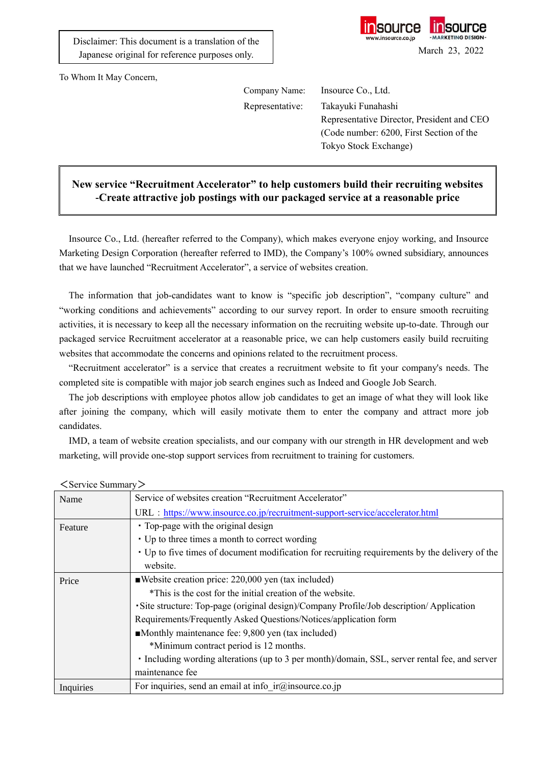

To Whom It May Concern,

Company Name: Insource Co., Ltd.

Representative: Takayuki Funahashi Representative Director, President and CEO (Code number: 6200, First Section of the Tokyo Stock Exchange)

## **New service "Recruitment Accelerator" to help customers build their recruiting websites -Create attractive job postings with our packaged service at a reasonable price**

Insource Co., Ltd. (hereafter referred to the Company), which makes everyone enjoy working, and Insource Marketing Design Corporation (hereafter referred to IMD), the Company's 100% owned subsidiary, announces that we have launched "Recruitment Accelerator", a service of websites creation.

The information that job-candidates want to know is "specific job description", "company culture" and "working conditions and achievements" according to our survey report. In order to ensure smooth recruiting activities, it is necessary to keep all the necessary information on the recruiting website up-to-date. Through our packaged service Recruitment accelerator at a reasonable price, we can help customers easily build recruiting websites that accommodate the concerns and opinions related to the recruitment process.

"Recruitment accelerator" is a service that creates a recruitment website to fit your company's needs. The completed site is compatible with major job search engines such as Indeed and Google Job Search.

The job descriptions with employee photos allow job candidates to get an image of what they will look like after joining the company, which will easily motivate them to enter the company and attract more job candidates.

IMD, a team of website creation specialists, and our company with our strength in HR development and web marketing, will provide one-stop support services from recruitment to training for customers.

| Name      | Service of websites creation "Recruitment Accelerator"                                         |
|-----------|------------------------------------------------------------------------------------------------|
|           | URL : https://www.insource.co.jp/recruitment-support-service/accelerator.html                  |
| Feature   | • Top-page with the original design                                                            |
|           | • Up to three times a month to correct wording                                                 |
|           | • Up to five times of document modification for recruiting requirements by the delivery of the |
|           | website.                                                                                       |
| Price     | Website creation price: 220,000 yen (tax included)                                             |
|           | *This is the cost for the initial creation of the website.                                     |
|           | · Site structure: Top-page (original design)/Company Profile/Job description/ Application      |
|           | Requirements/Frequently Asked Questions/Notices/application form                               |
|           | Monthly maintenance fee: 9,800 yen (tax included)                                              |
|           | *Minimum contract period is 12 months.                                                         |
|           | • Including wording alterations (up to 3 per month)/domain, SSL, server rental fee, and server |
|           | maintenance fee                                                                                |
| Inquiries | For inquiries, send an email at info $ir@$ insource.co.jp                                      |

 $\langle$  Service Summary $\rangle$